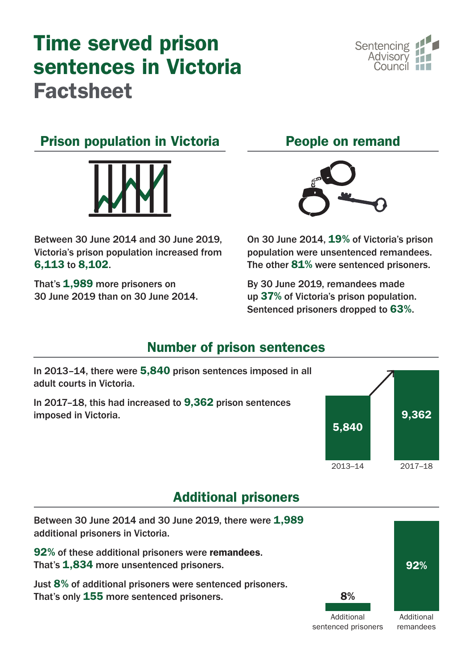# Time served prison sentences in Victoria Factsheet



# Prison population in Victoria



Between 30 June 2014 and 30 June 2019, Victoria's prison population increased from 6,113 to 8,102.

That's 1.989 more prisoners on 30 June 2019 than on 30 June 2014.





On 30 June 2014, 19% of Victoria's prison population were unsentenced remandees. The other 81% were sentenced prisoners.

By 30 June 2019, remandees made up 37% of Victoria's prison population. Sentenced prisoners dropped to 63%.

#### Number of prison sentences



# Additional prisoners

Between 30 June 2014 and 30 June 2019, there were 1,989 additional prisoners in Victoria. 92% of these additional prisoners were remandees. That's 1,834 more unsentenced prisoners. Just 8% of additional prisoners were sentenced prisoners. That's only 155 more sentenced prisoners. 92% 8% Additional Additional

sentenced prisoners

remandees